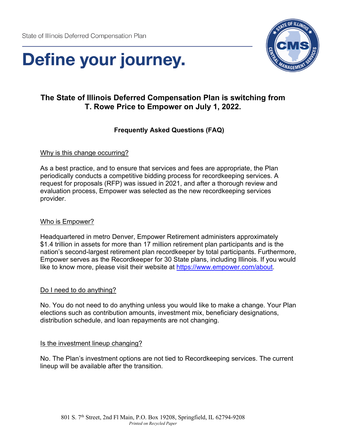

# **Define your journey.**

# **The State of Illinois Deferred Compensation Plan is switching from T. Rowe Price to Empower on July 1, 2022.**

## **Frequently Asked Questions (FAQ)**

### Why is this change occurring?

As a best practice, and to ensure that services and fees are appropriate, the Plan periodically conducts a competitive bidding process for recordkeeping services. A request for proposals (RFP) was issued in 2021, and after a thorough review and evaluation process, Empower was selected as the new recordkeeping services provider.

#### Who is Empower?

Headquartered in metro Denver, Empower Retirement administers approximately \$1.4 trillion in assets for more than 17 million retirement plan participants and is the nation's second-largest retirement plan recordkeeper by total participants. Furthermore, Empower serves as the Recordkeeper for 30 State plans, including Illinois. If you would like to know more, please visit their website at [https://www.empower.com/about.](https://www.empower.com/about)

#### Do I need to do anything?

No. You do not need to do anything unless you would like to make a change. Your Plan elections such as contribution amounts, investment mix, beneficiary designations, distribution schedule, and loan repayments are not changing.

#### Is the investment lineup changing?

No. The Plan's investment options are not tied to Recordkeeping services. The current lineup will be available after the transition.